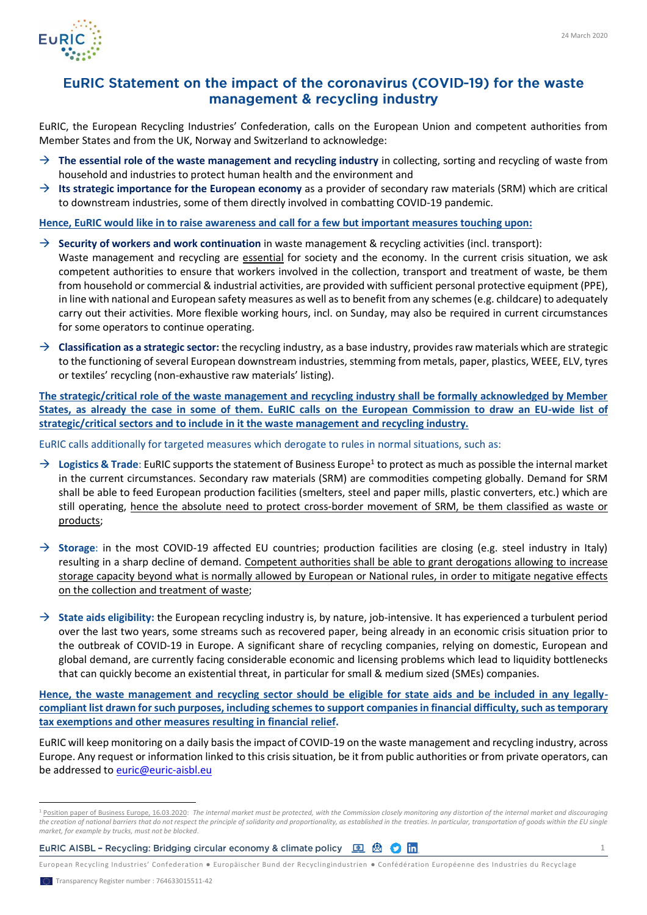

## EuRIC Statement on the impact of the coronavirus (COVID-19) for the waste management & recycling industry

EuRIC, the European Recycling Industries' Confederation, calls on the European Union and competent authorities from Member States and from the UK, Norway and Switzerland to acknowledge:

- → **The essential role of the waste management and recycling industry** in collecting, sorting and recycling of waste from household and industries to protect human health and the environment and
- $\rightarrow$  **Its strategic importance for the European economy** as a provider of secondary raw materials (SRM) which are critical to downstream industries, some of them directly involved in combatting COVID-19 pandemic.

**Hence, EuRIC would like in to raise awareness and call for a few but important measures touching upon:**

→ **Security of workers and work continuation** in waste management & recycling activities (incl. transport):

Waste management and recycling are essential for society and the economy. In the current crisis situation, we ask competent authorities to ensure that workers involved in the collection, transport and treatment of waste, be them from household or commercial & industrial activities, are provided with sufficient personal protective equipment (PPE), in line with national and European safety measures as well as to benefit from any schemes (e.g. childcare) to adequately carry out their activities. More flexible working hours, incl. on Sunday, may also be required in current circumstances for some operators to continue operating.

→ **Classification as a strategic sector:** the recycling industry, as a base industry, provides raw materials which are strategic to the functioning of several European downstream industries, stemming from metals, paper, plastics, WEEE, ELV, tyres or textiles' recycling (non-exhaustive raw materials' listing).

**The strategic/critical role of the waste management and recycling industry shall be formally acknowledged by Member States, as already the case in some of them. EuRIC calls on the European Commission to draw an EU-wide list of strategic/critical sectors and to include in it the waste management and recycling industry.** 

EuRIC calls additionally for targeted measures which derogate to rules in normal situations, such as:

- → Logistics & Trade: EuRIC supports the statement of Business Europe<sup>1</sup> to protect as much as possible the internal market in the current circumstances. Secondary raw materials (SRM) are commodities competing globally. Demand for SRM shall be able to feed European production facilities (smelters, steel and paper mills, plastic converters, etc.) which are still operating, hence the absolute need to protect cross-border movement of SRM, be them classified as waste or products;
- → **Storage**: in the most COVID-19 affected EU countries; production facilities are closing (e.g. steel industry in Italy) resulting in a sharp decline of demand. Competent authorities shall be able to grant derogations allowing to increase storage capacity beyond what is normally allowed by European or National rules, in order to mitigate negative effects on the collection and treatment of waste;
- → **State aids eligibility:** the European recycling industry is, by nature, job-intensive. It has experienced a turbulent period over the last two years, some streams such as recovered paper, being already in an economic crisis situation prior to the outbreak of COVID-19 in Europe. A significant share of recycling companies, relying on domestic, European and global demand, are currently facing considerable economic and licensing problems which lead to liquidity bottlenecks that can quickly become an existential threat, in particular for small & medium sized (SMEs) companies.

**Hence, the waste management and recycling sector should be eligible for state aids and be included in any legallycompliant list drawn for such purposes, including schemes to support companies in financial difficulty, such as temporary tax exemptions and other measures resulting in financial relief.** 

EuRIC will keep monitoring on a daily basis the impact of COVID-19 on the waste management and recycling industry, across Europe. Any request or information linked to this crisis situation, be it from public authorities or from private operators, can be addressed to **euric@euric-aisbl.eu** 

European Recycling Industries' Confederation ● Europäischer Bund der Recyclingindustrien ● Confédération Européenne des Industries du Recyclage

<sup>1</sup> [Position paper of Business Europe, 16.03.2020:](https://www.businesseurope.eu/sites/buseur/files/media/position_papers/businesseurope_statement_on_covid19.pdf) *The internal market must be protected, with the Commission closely monitoring any distortion of the internal market and discouraging*  the creation of national barriers that do not respect the principle of solidarity and proportionality, as established in the treaties. In particular, transportation of goods within the EU single *market, for example by trucks, must not be blocked*.

**EURIC AISBL - Recycling: Bridging circular economy & climate policy**  $\Box$  (a)  $\Box$  (b)  $\Box$